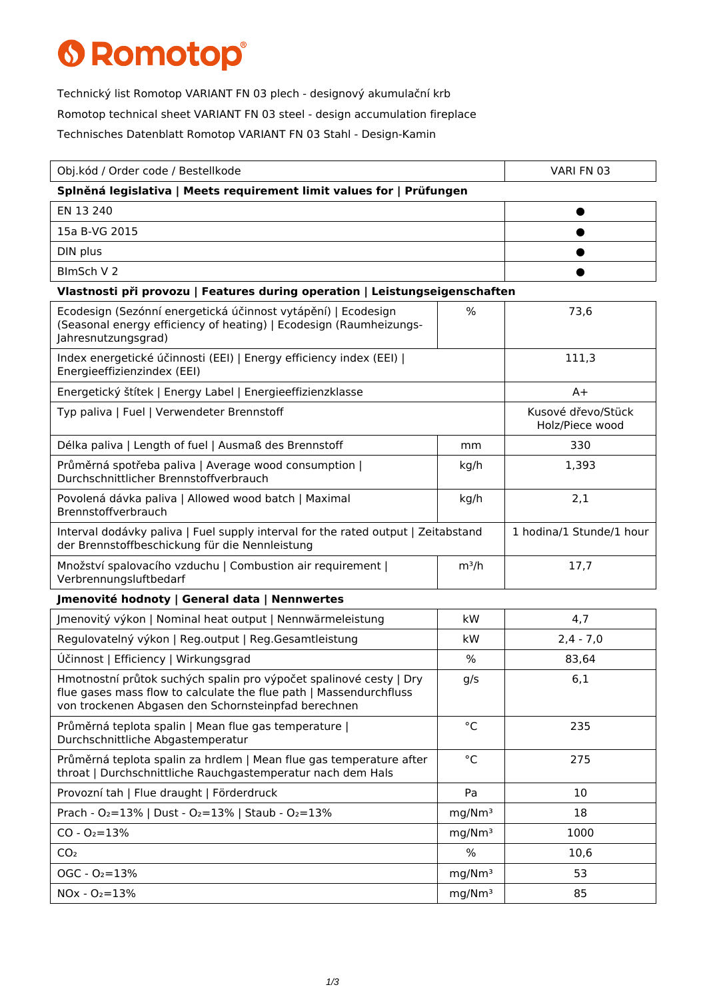## **6 Romotop®**

Technický list Romotop VARIANT FN 03 plech - designový akumulační krb Romotop technical sheet VARIANT FN 03 steel - design accumulation fireplace Technisches Datenblatt Romotop VARIANT FN 03 Stahl - Design-Kamin

| Obj.kód / Order code / Bestellkode                                                                                                                                                              |                    | VARI FN 03                            |  |  |
|-------------------------------------------------------------------------------------------------------------------------------------------------------------------------------------------------|--------------------|---------------------------------------|--|--|
| Splněná legislativa   Meets requirement limit values for   Prüfungen                                                                                                                            |                    |                                       |  |  |
| EN 13 240                                                                                                                                                                                       |                    |                                       |  |  |
| 15a B-VG 2015                                                                                                                                                                                   |                    |                                       |  |  |
| DIN plus                                                                                                                                                                                        |                    |                                       |  |  |
| BlmSch V 2                                                                                                                                                                                      |                    |                                       |  |  |
| Vlastnosti při provozu   Features during operation   Leistungseigenschaften                                                                                                                     |                    |                                       |  |  |
| Ecodesign (Sezónní energetická účinnost vytápění)   Ecodesign<br>(Seasonal energy efficiency of heating)   Ecodesign (Raumheizungs-<br>Jahresnutzungsgrad)                                      | $\%$               | 73,6                                  |  |  |
| Index energetické účinnosti (EEI)   Energy efficiency index (EEI)  <br>Energieeffizienzindex (EEI)                                                                                              |                    | 111,3                                 |  |  |
| Energetický štítek   Energy Label   Energieeffizienzklasse                                                                                                                                      |                    | $A+$                                  |  |  |
| Typ paliva   Fuel   Verwendeter Brennstoff                                                                                                                                                      |                    | Kusové dřevo/Stück<br>Holz/Piece wood |  |  |
| Délka paliva   Length of fuel   Ausmaß des Brennstoff                                                                                                                                           | mm                 | 330                                   |  |  |
| Průměrná spotřeba paliva   Average wood consumption  <br>Durchschnittlicher Brennstoffverbrauch                                                                                                 | kg/h               | 1,393                                 |  |  |
| Povolená dávka paliva   Allowed wood batch   Maximal<br>Brennstoffverbrauch                                                                                                                     | kg/h               | 2,1                                   |  |  |
| Interval dodávky paliva   Fuel supply interval for the rated output   Zeitabstand<br>der Brennstoffbeschickung für die Nennleistung                                                             |                    | 1 hodina/1 Stunde/1 hour              |  |  |
| Množství spalovacího vzduchu   Combustion air requirement  <br>Verbrennungsluftbedarf                                                                                                           | $m^3/h$            | 17,7                                  |  |  |
| Jmenovité hodnoty   General data   Nennwertes                                                                                                                                                   |                    |                                       |  |  |
| Jmenovitý výkon   Nominal heat output   Nennwärmeleistung                                                                                                                                       | <b>kW</b>          | 4,7                                   |  |  |
| Regulovatelný výkon   Reg.output   Reg.Gesamtleistung                                                                                                                                           | kW                 | $2,4 - 7,0$                           |  |  |
| Účinnost   Efficiency   Wirkungsgrad                                                                                                                                                            | $\%$               | 83,64                                 |  |  |
| Hmotnostní průtok suchých spalin pro výpočet spalinové cesty   Dry<br>flue gases mass flow to calculate the flue path   Massendurchfluss<br>von trockenen Abgasen den Schornsteinpfad berechnen | g/s                | 6,1                                   |  |  |
| Průměrná teplota spalin   Mean flue gas temperature  <br>Durchschnittliche Abgastemperatur                                                                                                      | $^{\circ}$ C       | 235                                   |  |  |
| Průměrná teplota spalin za hrdlem   Mean flue gas temperature after<br>throat   Durchschnittliche Rauchgastemperatur nach dem Hals                                                              | $^{\circ}$ C       | 275                                   |  |  |
| Provozní tah   Flue draught   Förderdruck                                                                                                                                                       | Pa                 | 10                                    |  |  |
| Prach - O2=13%   Dust - O2=13%   Staub - O2=13%                                                                                                                                                 | mg/Nm <sup>3</sup> | 18                                    |  |  |
| $CO - O_2 = 13%$                                                                                                                                                                                | mq/Nm <sup>3</sup> | 1000                                  |  |  |
| CO <sub>2</sub>                                                                                                                                                                                 | $\%$               | 10,6                                  |  |  |
| $OGC - O2=13%$                                                                                                                                                                                  | mg/Nm <sup>3</sup> | 53                                    |  |  |
| $NOx - O_2 = 13%$                                                                                                                                                                               | mg/Nm <sup>3</sup> | 85                                    |  |  |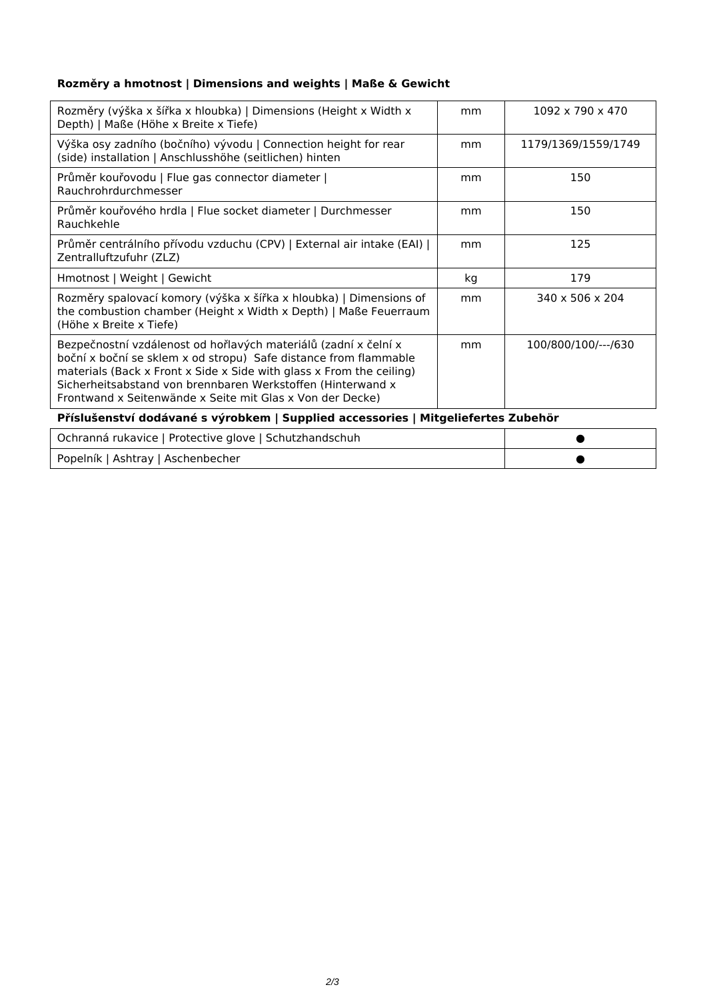## **Rozměry a hmotnost | Dimensions and weights | Maße & Gewicht**

| Rozměry (výška x šířka x hloubka)   Dimensions (Height x Width x<br>Depth)   Maße (Höhe x Breite x Tiefe)                                                                                                                                                                                                                               | mm | 1092 x 790 x 470    |  |
|-----------------------------------------------------------------------------------------------------------------------------------------------------------------------------------------------------------------------------------------------------------------------------------------------------------------------------------------|----|---------------------|--|
| Výška osy zadního (bočního) vývodu   Connection height for rear<br>(side) installation   Anschlusshöhe (seitlichen) hinten                                                                                                                                                                                                              | mm | 1179/1369/1559/1749 |  |
| Průměr kouřovodu   Flue gas connector diameter  <br>Rauchrohrdurchmesser                                                                                                                                                                                                                                                                | mm | 150                 |  |
| Průměr kouřového hrdla   Flue socket diameter   Durchmesser<br>Rauchkehle                                                                                                                                                                                                                                                               | mm | 150                 |  |
| Průměr centrálního přívodu vzduchu (CPV)   External air intake (EAI)  <br>Zentralluftzufuhr (ZLZ)                                                                                                                                                                                                                                       | mm | 125                 |  |
| Hmotnost   Weight   Gewicht                                                                                                                                                                                                                                                                                                             | kg | 179                 |  |
| Rozměry spalovací komory (výška x šířka x hloubka)   Dimensions of<br>the combustion chamber (Height x Width x Depth)   Maße Feuerraum<br>(Höhe x Breite x Tiefe)                                                                                                                                                                       | mm | 340 x 506 x 204     |  |
| Bezpečnostní vzdálenost od hořlavých materiálů (zadní x čelní x<br>boční x boční se sklem x od stropu) Safe distance from flammable<br>materials (Back x Front x Side x Side with glass x From the ceiling)<br>Sicherheitsabstand von brennbaren Werkstoffen (Hinterwand x<br>Frontwand x Seitenwände x Seite mit Glas x Von der Decke) | mm | 100/800/100/---/630 |  |
| Příslušenství dodávané s výrobkem   Supplied accessories   Mitgeliefertes Zubehör                                                                                                                                                                                                                                                       |    |                     |  |

| Ochranná rukavice   Protective glove   Schutzhandschuh |  |
|--------------------------------------------------------|--|
| Popelník   Ashtray   Aschenbecher                      |  |